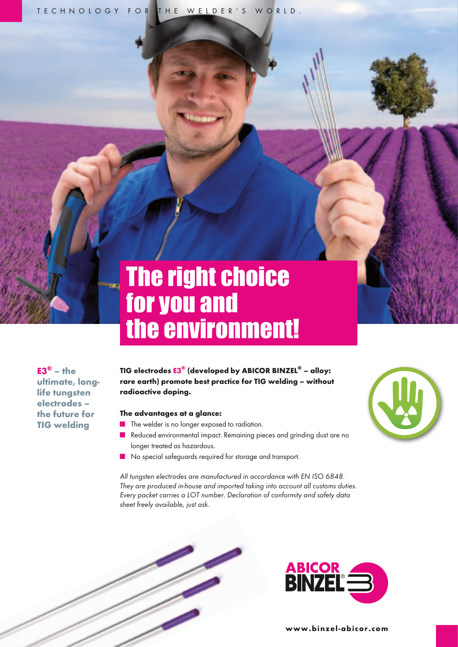TECHNOLOGY FOR THE WELDER'S WORLD.

# The right choice for you and the environment!

 $E3^{\circledR}$  – the ultimate, longlife tungsten electrodes – the future for TIG welding

TIG electrodes E3® (developed by ABICOR BINZEL® – alloy: rare earth) promote best practice for TIG welding – without radioactive doping.

#### The advantages at a glance:

- The welder is no longer exposed to radiation.
- Reduced environmental impact. Remaining pieces and grinding dust are no longer treated as hazardous.
- No special safeguards required for storage and transport.

All tungsten electrodes are manufactured in accordance with EN ISO 6848. *They are produced in-house and imported taking into account all customs duties. Every packet carries a LOT number. Declaration of conformity and safety data sheet freely available, just ask.*







www.binzel-abicor.com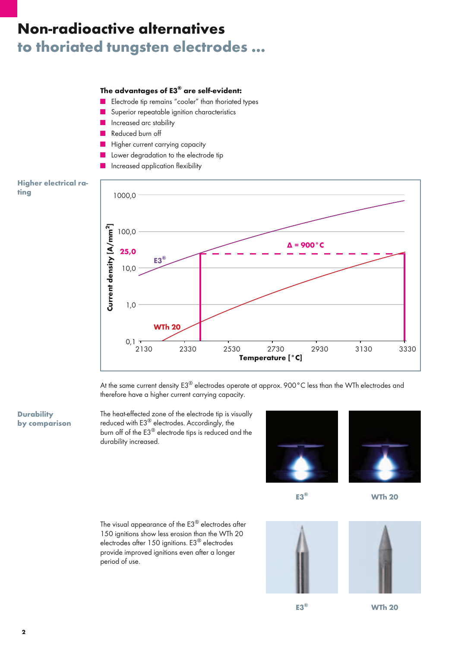# to thoriated tungsten electrodes … Non-radioactive alternatives

## The advantages of E3® are self-evident:

- Electrode tip remains "cooler" than thoriated types
- Superior repeatable ignition characteristics
- Increased arc stability
- Reduced burn off
- Higher current carrying capacity
- Lower degradation to the electrode tip
- Increased application flexibility

#### Higher electrical rating



At the same current density E3® electrodes operate at approx. 900°C less than the WTh electrodes and therefore have a higher current carrying capacity.

### **Durability** by comparison

The heat-effected zone of the electrode tip is visually reduced with E3<sup>®</sup> electrodes. Accordingly, the burn off of the E3® electrode tips is reduced and the durability increased.



E3®

**WTh 20** 

The visual appearance of the E3® electrodes after 150 ignitions show less erosion than the WTh 20 electrodes after 150 ignitions. E3® electrodes provide improved ignitions even after a longer period of use.





E3®

WTh 20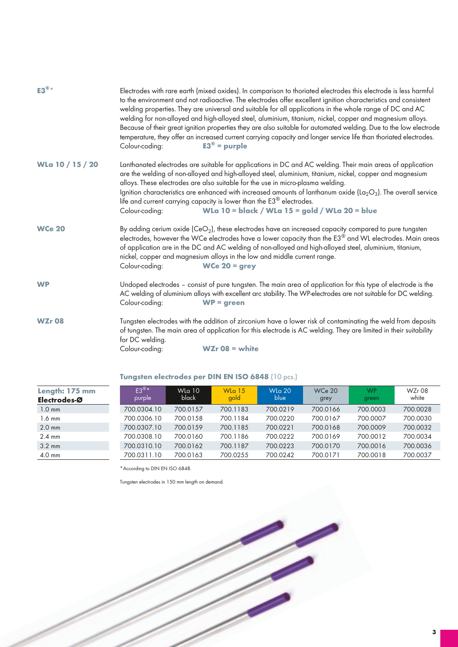| $E3^{\circledR}$ * | Electrodes with rare earth (mixed oxides). In comparison to thoriated electrodes this electrode is less harmful<br>to the environment and not radioactive. The electrodes offer excellent ignition characteristics and consistent<br>welding properties. They are universal and suitable for all applications in the whole range of DC and AC<br>welding for non-alloyed and high-alloyed steel, aluminium, titanium, nickel, copper and magnesium alloys.<br>Because of their great ignition properties they are also suitable for automated welding. Due to the low electrode<br>temperature, they offer an increased current carrying capacity and longer service life than thoriated electrodes.<br>$E3^{\circ}$ = purple<br>Colour-coding: |                                                                                                                                                                                                                                                                                                                                                                                                                                                                                                                                                                                            |  |  |  |  |
|--------------------|-------------------------------------------------------------------------------------------------------------------------------------------------------------------------------------------------------------------------------------------------------------------------------------------------------------------------------------------------------------------------------------------------------------------------------------------------------------------------------------------------------------------------------------------------------------------------------------------------------------------------------------------------------------------------------------------------------------------------------------------------|--------------------------------------------------------------------------------------------------------------------------------------------------------------------------------------------------------------------------------------------------------------------------------------------------------------------------------------------------------------------------------------------------------------------------------------------------------------------------------------------------------------------------------------------------------------------------------------------|--|--|--|--|
| WLa 10 / 15 / 20   | Colour-coding:                                                                                                                                                                                                                                                                                                                                                                                                                                                                                                                                                                                                                                                                                                                                  | Lanthanated electrodes are suitable for applications in DC and AC welding. Their main areas of application<br>are the welding of non-alloyed and high-alloyed steel, aluminium, titanium, nickel, copper and magnesium<br>alloys. These electrodes are also suitable for the use in micro-plasma welding.<br>Ignition characteristics are enhanced with increased amounts of lanthanum oxide (La <sub>2</sub> O <sub>3</sub> ). The overall service<br>life and current carrying capacity is lower than the $E3^{\circledR}$ electrodes.<br>WLa 10 = black / WLa 15 = gold / WLa 20 = blue |  |  |  |  |
| <b>WCe 20</b>      | By adding cerium oxide $(CeO2)$ , these electrodes have an increased capacity compared to pure tungsten<br>electrodes, however the WCe electrodes have a lower capacity than the $E3^\circledast$ and WL electrodes. Main areas<br>of application are in the DC and AC welding of non-alloyed and high-alloyed steel, aluminium, titanium,<br>nickel, copper and magnesium alloys in the low and middle current range.<br>Colour-coding:<br>WCe $20 =$ grey                                                                                                                                                                                                                                                                                     |                                                                                                                                                                                                                                                                                                                                                                                                                                                                                                                                                                                            |  |  |  |  |
| <b>WP</b>          | Undoped electrodes - consist of pure tungsten. The main area of application for this type of electrode is the<br>AC welding of aluminium alloys with excellent arc stability. The WP-electrodes are not suitable for DC welding.<br>Colour-coding:<br>$WP = green$                                                                                                                                                                                                                                                                                                                                                                                                                                                                              |                                                                                                                                                                                                                                                                                                                                                                                                                                                                                                                                                                                            |  |  |  |  |
| <b>WZr08</b>       | for DC welding.<br>Colour-coding:                                                                                                                                                                                                                                                                                                                                                                                                                                                                                                                                                                                                                                                                                                               | Tungsten electrodes with the addition of zirconium have a lower risk of contaminating the weld from deposits<br>of tungsten. The main area of application for this electrode is AC welding. They are limited in their suitability<br>$WZr$ 08 = white                                                                                                                                                                                                                                                                                                                                      |  |  |  |  |

| Length: 175 mm<br>Electrodes-Ø | $E3^{\circledR\star}$<br>purple | <b>WLa 10</b><br><b>black</b> | W <sub>15</sub><br>gold | <b>WLa 20</b><br>blue | <b>WCe 20</b><br>grey | <b>WP</b><br>green | <b>WZr08</b><br>white |
|--------------------------------|---------------------------------|-------------------------------|-------------------------|-----------------------|-----------------------|--------------------|-----------------------|
| $1.0 \text{ mm}$               | 700.0304.10                     | 700.0157                      | 700.1183                | 700.0219              | 700.0166              | 700,0003           | 700.0028              |
| 1.6 mm                         | 700.0306.10                     | 700.0158                      | 700.1184                | 700.0220              | 700.0167              | 700.0007           | 700.0030              |
| $2.0 \text{ mm}$               | 700.0307.10                     | 700.0159                      | 700.1185                | 700.0221              | 700.0168              | 700,0009           | 700.0032              |
| $2.4 \text{ mm}$               | 700.0308.10                     | 700.0160                      | 700.1186                | 700.0222              | 700.0169              | 700.0012           | 700.0034              |
| $3.2 \text{ mm}$               | 700.0310.10                     | 700.0162                      | 700.1187                | 700.0223              | 700.0170              | 700.0016           | 700.0036              |
| $4.0 \text{ mm}$               | 700.0311.10                     | 700.0163                      | 700.0255                | 700.0242              | 700.0171              | 700.0018           | 700.0037              |
|                                |                                 |                               |                         |                       |                       |                    |                       |

# Tungsten electrodes per DIN EN ISO 6848 (10 pcs.)

\*According to DIN EN ISO 6848.

Tungsten electrodes in 150 mm length on demand.